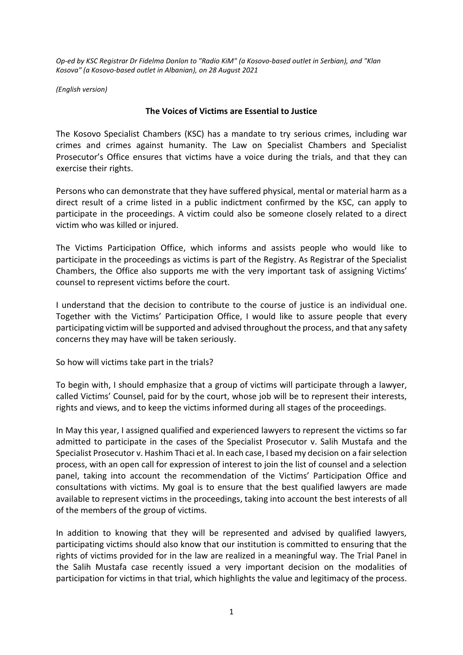*Op-ed by KSC Registrar Dr Fidelma Donlon to "Radio KiM" (a Kosovo-based outlet in Serbian), and "Klan Kosova" (a Kosovo-based outlet in Albanian), on 28 August 2021*

*(English version)*

## **The Voices of Victims are Essential to Justice**

The Kosovo Specialist Chambers (KSC) has a mandate to try serious crimes, including war crimes and crimes against humanity. The Law on Specialist Chambers and Specialist Prosecutor's Office ensures that victims have a voice during the trials, and that they can exercise their rights.

Persons who can demonstrate that they have suffered physical, mental or material harm as a direct result of a crime listed in a public indictment confirmed by the KSC, can apply to participate in the proceedings. A victim could also be someone closely related to a direct victim who was killed or injured.

The Victims Participation Office, which informs and assists people who would like to participate in the proceedings as victims is part of the Registry. As Registrar of the Specialist Chambers, the Office also supports me with the very important task of assigning Victims' counsel to represent victims before the court.

I understand that the decision to contribute to the course of justice is an individual one. Together with the Victims' Participation Office, I would like to assure people that every participating victim will be supported and advised throughout the process, and that any safety concerns they may have will be taken seriously.

So how will victims take part in the trials?

To begin with, I should emphasize that a group of victims will participate through a lawyer, called Victims' Counsel, paid for by the court, whose job will be to represent their interests, rights and views, and to keep the victims informed during all stages of the proceedings.

In May this year, I assigned qualified and experienced lawyers to represent the victims so far admitted to participate in the cases of the Specialist Prosecutor v. Salih Mustafa and the Specialist Prosecutor v. Hashim Thaci et al. In each case, I based my decision on a fair selection process, with an open call for expression of interest to join the list of counsel and a selection panel, taking into account the recommendation of the Victims' Participation Office and consultations with victims. My goal is to ensure that the best qualified lawyers are made available to represent victims in the proceedings, taking into account the best interests of all of the members of the group of victims.

In addition to knowing that they will be represented and advised by qualified lawyers, participating victims should also know that our institution is committed to ensuring that the rights of victims provided for in the law are realized in a meaningful way. The Trial Panel in the Salih Mustafa case recently issued a very important decision on the modalities of participation for victims in that trial, which highlights the value and legitimacy of the process.